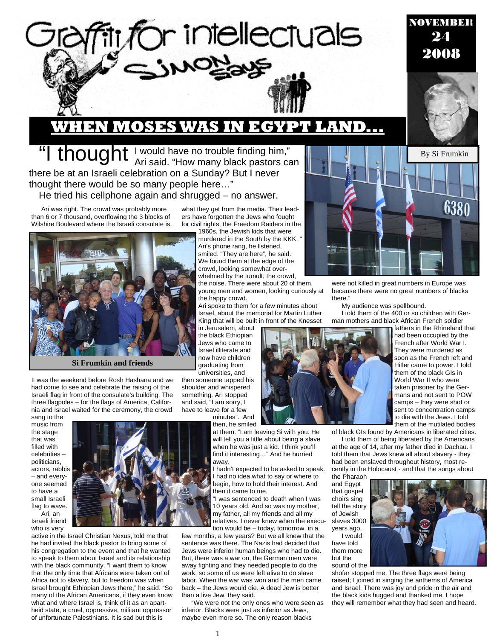

### **WHEN MOSES WAS IN EGYPT LAND...**

"I thought I would have no trouble finding him,"<br>Ari said. "How many black pastors can there be at an Israeli celebration on a Sunday? But I never thought there would be so many people here…" He tried his cellphone again and shrugged – no answer.

Ari was right. The crowd was probably more than 6 or 7 thousand, overflowing the 3 blocks of Wilshire Boulevard where the Israeli consulate is.



**Si Frumkin and friends** 

It was the weekend before Rosh Hashana and we had come to see and celebrate the raising of the Israeli flag in front of the consulate's building. The three flagpoles – for the flags of America, California and Israel waited for the ceremony, the crowd

sang to the music from the stage that was filled with celebrities – politicians, actors, rabbis – and everyone seemed to have a small Israeli flag to wave. Ari, an

Israeli friend who is very



active in the Israel Christian Nexus, told me that he had invited the black pastor to bring some of his congregation to the event and that he wanted to speak to them about Israel and its relationship with the black community. "I want them to know that the only time that Africans were taken out of Africa not to slavery, but to freedom was when Israel brought Ethiopian Jews there," he said. "So many of the African Americans, if they even know what and where Israel is, think of it as an apartheid state, a cruel, oppressive, militant oppressor of unfortunate Palestinians. It is sad but this is

what they get from the media. Their leaders have forgotten the Jews who fought for civil rights, the Freedom Raiders in the

1960s, the Jewish kids that were murdered in the South by the KKK. " Ari's phone rang, he listened, smiled. "They are here", he said. We found them at the edge of the crowd, looking somewhat overwhelmed by the tumult, the crowd, the noise. There were about 20 of them,

young men and women, looking curiously at the happy crowd.

Ari spoke to them for a few minutes about Israel, about the memorial for Martin Luther King that will be built in front of the Knesset

in Jerusalem, about the black Ethiopian Jews who came to Israel illiterate and now have children graduating from universities, and

then someone tapped his shoulder and whispered something. Ari stopped and said, "I am sorry, I have to leave for a few

> minutes". And then, he smiled

at them. "I am leaving Si with you. He will tell you a little about being a slave when he was just a kid. I think you'll find it interesting…" And he hurried away.

hadn't expected to be asked to speak. had no idea what to say or where to begin, how to hold their interest. And then it came to me.

"I was sentenced to death when I was 10 years old. And so was my mother, my father, all my friends and all my relatives. I never knew when the execution would be – today, tomorrow, in a

few months, a few years? But we all knew that the sentence was there. The Nazis had decided that Jews were inferior human beings who had to die. But, there was a war on, the German men were away fighting and they needed people to do the work, so some of us were left alive to do slave labor. When the war was won and the men came back – the Jews would die. A dead Jew is better than a live Jew, they said.

"We were not the only ones who were seen as inferior. Blacks were just as inferior as Jews, maybe even more so. The only reason blacks



were not killed in great numbers in Europe was because there were no great numbers of blacks there."

My audience was spellbound. I told them of the 400 or so children with German mothers and black African French soldier

fathers in the Rhineland that had been occupied by the French after World War I. They were murdered as soon as the French left and Hitler came to power. I told them of the black GIs in World War II who were taken prisoner by the Germans and not sent to POW camps – they were shot or sent to concentration camps to die with the Jews. I told them of the mutilated bodies

NOVEMBER 24 2008

of black GIs found by Americans in liberated cities.

I told them of being liberated by the Americans at the age of 14, after my father died in Dachau. I told them that Jews knew all about slavery - they had been enslaved throughout history, most recently in the Holocaust - and that the songs about the Pharaoh

and Egypt that gospel choirs sing tell the story of Jewish slaves 3000 years ago.

have told them more but the sound of the



shofar stopped me. The three flags were being raised; I joined in singing the anthems of America and Israel. There was joy and pride in the air and the black kids hugged and thanked me. I hope they will remember what they had seen and heard.



1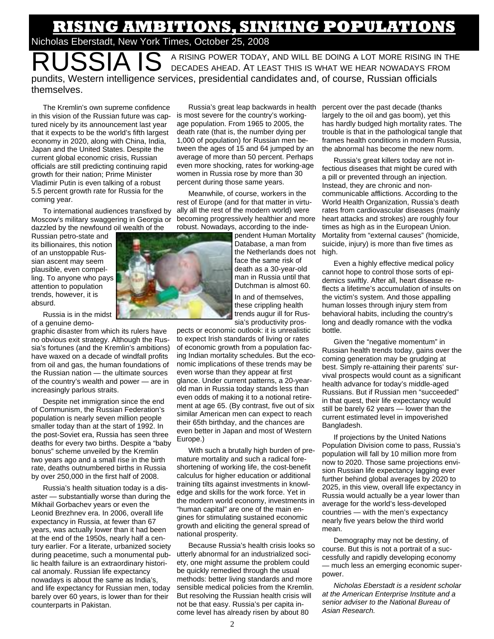## **RISING AMBITIONS, SINKING POPULATIONS**  Nicholas Eberstadt, New York Times, October 25, 2008

A RISING POWER TODAY, AND WILL BE DOING A LOT MORE RISING IN THE DECADES AHEAD. AT LEAST THIS IS WHAT WE HEAR NOWADAYS FROM pundits, Western intelligence services, presidential candidates and, of course, Russian officials themselves.

The Kremlin's own supreme confidence in this vision of the Russian future was captured nicely by its announcement last year that it expects to be the world's fifth largest economy in 2020, along with China, India, Japan and the United States. Despite the current global economic crisis, Russian officials are still predicting continuing rapid growth for their nation; Prime Minister Vladimir Putin is even talking of a robust 5.5 percent growth rate for Russia for the coming year.

To international audiences transfixed by Moscow's military swaggering in Georgia or dazzled by the newfound oil wealth of the

Russian petro-state and its billionaires, this notion of an unstoppable Russian ascent may seem plausible, even compelling. To anyone who pays attention to population trends, however, it is absurd.

Russia is in the midst of a genuine demo-

graphic disaster from which its rulers have no obvious exit strategy. Although the Russia's fortunes (and the Kremlin's ambitions) have waxed on a decade of windfall profits from oil and gas, the human foundations of the Russian nation — the ultimate sources of the country's wealth and power — are in increasingly parlous straits.

Despite net immigration since the end of Communism, the Russian Federation's population is nearly seven million people smaller today than at the start of 1992. In the post-Soviet era, Russia has seen three deaths for every two births. Despite a "baby bonus" scheme unveiled by the Kremlin two years ago and a small rise in the birth rate, deaths outnumbered births in Russia by over 250,000 in the first half of 2008.

Russia's health situation today is a disaster — substantially worse than during the Mikhail Gorbachev years or even the Leonid Brezhnev era. In 2006, overall life expectancy in Russia, at fewer than 67 years, was actually lower than it had been at the end of the 1950s, nearly half a century earlier. For a literate, urbanized society during peacetime, such a monumental public health failure is an extraordinary historical anomaly. Russian life expectancy nowadays is about the same as India's, and life expectancy for Russian men, today barely over 60 years, is lower than for their counterparts in Pakistan.

Russia's great leap backwards in health is most severe for the country's workingage population. From 1965 to 2005, the death rate (that is, the number dying per 1,000 of population) for Russian men between the ages of 15 and 64 jumped by an average of more than 50 percent. Perhaps even more shocking, rates for working-age women in Russia rose by more than 30 percent during those same years.

Meanwhile, of course, workers in the rest of Europe (and for that matter in virtually all the rest of the modern world) were becoming progressively healthier and more robust. Nowadays, according to the inde-

pendent Human Mortality Database, a man from the Netherlands does not face the same risk of death as a 30-year-old man in Russia until that Dutchman is almost 60.

In and of themselves, these crippling health trends augur ill for Russia's productivity pros-

pects or economic outlook: it is unrealistic to expect Irish standards of living or rates of economic growth from a population facing Indian mortality schedules. But the economic implications of these trends may be even worse than they appear at first glance. Under current patterns, a 20-yearold man in Russia today stands less than even odds of making it to a notional retirement at age 65. (By contrast, five out of six similar American men can expect to reach their 65th birthday, and the chances are even better in Japan and most of Western Europe.)

With such a brutally high burden of premature mortality and such a radical foreshortening of working life, the cost-benefit calculus for higher education or additional training tilts against investments in knowledge and skills for the work force. Yet in the modern world economy, investments in "human capital" are one of the main engines for stimulating sustained economic growth and eliciting the general spread of national prosperity.

Because Russia's health crisis looks so utterly abnormal for an industrialized society, one might assume the problem could be quickly remedied through the usual methods: better living standards and more sensible medical policies from the Kremlin. But resolving the Russian health crisis will not be that easy. Russia's per capita income level has already risen by about 80

percent over the past decade (thanks largely to the oil and gas boom), yet this has hardly budged high mortality rates. The trouble is that in the pathological tangle that frames health conditions in modern Russia, the abnormal has become the new norm.

Russia's great killers today are not infectious diseases that might be cured with a pill or prevented through an injection. Instead, they are chronic and noncommunicable afflictions. According to the World Health Organization, Russia's death rates from cardiovascular diseases (mainly heart attacks and strokes) are roughly four times as high as in the European Union. Mortality from "external causes" (homicide, suicide, injury) is more than five times as high.

Even a highly effective medical policy cannot hope to control those sorts of epidemics swiftly. After all, heart disease reflects a lifetime's accumulation of insults on the victim's system. And those appalling human losses through injury stem from behavioral habits, including the country's long and deadly romance with the vodka bottle.

Given the "negative momentum" in Russian health trends today, gains over the coming generation may be grudging at best. Simply re-attaining their parents' survival prospects would count as a significant health advance for today's middle-aged Russians. But if Russian men "succeeded" in that quest, their life expectancy would still be barely 62 years — lower than the current estimated level in impoverished Bangladesh.

If projections by the United Nations Population Division come to pass, Russia's population will fall by 10 million more from now to 2020. Those same projections envision Russian life expectancy lagging ever further behind global averages by 2020 to 2025, in this view, overall life expectancy in Russia would actually be a year lower than average for the world's less-developed countries — with the men's expectancy nearly five years below the third world mean.

Demography may not be destiny, of course. But this is not a portrait of a successfully and rapidly developing economy — much less an emerging economic superpower.

*Nicholas Eberstadt is a resident scholar at the American Enterprise Institute and a senior adviser to the National Bureau of Asian Research.* 

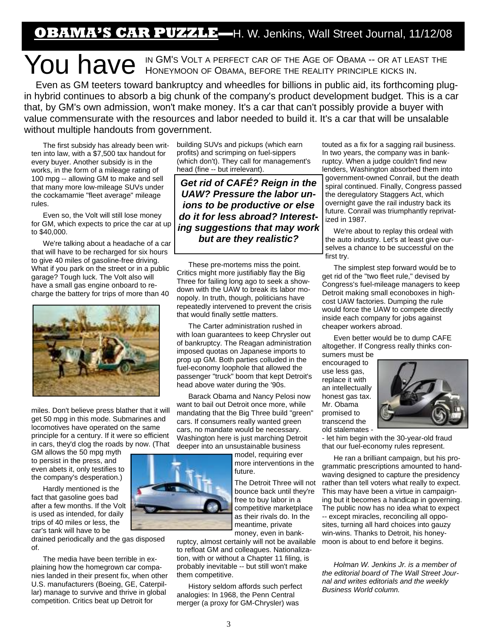**OBAMA'S CAR PUZZLE—**H. W. Jenkins, Wall Street Journal, 11/12/08

# You have in GM's Volt a perfect car of the Age of Obama -- or at least the NGN HONEY MOON OF OBAMA, BEFORE THE REALITY PRINCIPLE KICKS IN.

Even as GM teeters toward bankruptcy and wheedles for billions in public aid, its forthcoming plugin hybrid continues to absorb a big chunk of the company's product development budget. This is a car that, by GM's own admission, won't make money. It's a car that can't possibly provide a buyer with value commensurate with the resources and labor needed to build it. It's a car that will be unsalable without multiple handouts from government.

The first subsidy has already been written into law, with a \$7,500 tax handout for every buyer. Another subsidy is in the works, in the form of a mileage rating of 100 mpg -- allowing GM to make and sell that many more low-mileage SUVs under the cockamamie "fleet average" mileage rules.

Even so, the Volt will still lose money for GM, which expects to price the car at up to \$40,000.

We're talking about a headache of a car that will have to be recharged for six hours to give 40 miles of gasoline-free driving. What if you park on the street or in a public garage? Tough luck. The Volt also will have a small gas engine onboard to recharge the battery for trips of more than 40



miles. Don't believe press blather that it will get 50 mpg in this mode. Submarines and locomotives have operated on the same principle for a century. If it were so efficient in cars, they'd clog the roads by now. (That

GM allows the 50 mpg myth to persist in the press, and even abets it, only testifies to the company's desperation.)

Hardly mentioned is the fact that gasoline goes bad after a few months. If the Volt is used as intended, for daily trips of 40 miles or less, the car's tank will have to be

drained periodically and the gas disposed of.

The media have been terrible in explaining how the homegrown car companies landed in their present fix, when other U.S. manufacturers (Boeing, GE, Caterpillar) manage to survive and thrive in global competition. Critics beat up Detroit for

building SUVs and pickups (which earn profits) and scrimping on fuel-sippers (which don't). They call for management's head (fine -- but irrelevant).

*Get rid of CAFÉ? Reign in the UAW? Pressure the labor unions to be productive or else do it for less abroad? Interesting suggestions that may work but are they realistic?* 

These pre-mortems miss the point. Critics might more justifiably flay the Big Three for failing long ago to seek a showdown with the UAW to break its labor monopoly. In truth, though, politicians have repeatedly intervened to prevent the crisis that would finally settle matters.

The Carter administration rushed in with loan guarantees to keep Chrysler out of bankruptcy. The Reagan administration imposed quotas on Japanese imports to prop up GM. Both parties colluded in the fuel-economy loophole that allowed the passenger "truck" boom that kept Detroit's head above water during the '90s.

Barack Obama and Nancy Pelosi now want to bail out Detroit once more, while mandating that the Big Three build "green" cars. If consumers really wanted green cars, no mandate would be necessary. Washington here is just marching Detroit deeper into an unsustainable business

> model, requiring ever more interventions in the future.

The Detroit Three will not bounce back until they're free to buy labor in a competitive marketplace as their rivals do. In the meantime, private money, even in bank-

ruptcy, almost certainly will not be available to refloat GM and colleagues. Nationalization, with or without a Chapter 11 filing, is probably inevitable -- but still won't make them competitive.

History seldom affords such perfect analogies: In 1968, the Penn Central merger (a proxy for GM-Chrysler) was

touted as a fix for a sagging rail business. In two years, the company was in bankruptcy. When a judge couldn't find new lenders, Washington absorbed them into government-owned Conrail, but the death spiral continued. Finally, Congress passed the deregulatory Staggers Act, which overnight gave the rail industry back its future. Conrail was triumphantly reprivatized in 1987.

We're about to replay this ordeal with the auto industry. Let's at least give ourselves a chance to be successful on the first try.

The simplest step forward would be to get rid of the "two fleet rule," devised by Congress's fuel-mileage managers to keep Detroit making small econoboxes in highcost UAW factories. Dumping the rule would force the UAW to compete directly inside each company for jobs against cheaper workers abroad.

Even better would be to dump CAFE altogether. If Congress really thinks con-

sumers must be encouraged to use less gas, replace it with an intellectually honest gas tax. Mr. Obama promised to transcend the old stalemates -



- let him begin with the 30-year-old fraud that our fuel-economy rules represent.

He ran a brilliant campaign, but his programmatic prescriptions amounted to handwaving designed to capture the presidency rather than tell voters what really to expect. This may have been a virtue in campaigning but it becomes a handicap in governing. The public now has no idea what to expect -- except miracles, reconciling all opposites, turning all hard choices into gauzy win-wins. Thanks to Detroit, his honeymoon is about to end before it begins.

*Holman W. Jenkins Jr. is a member of the editorial board of The Wall Street Journal and writes editorials and the weekly Business World column.*